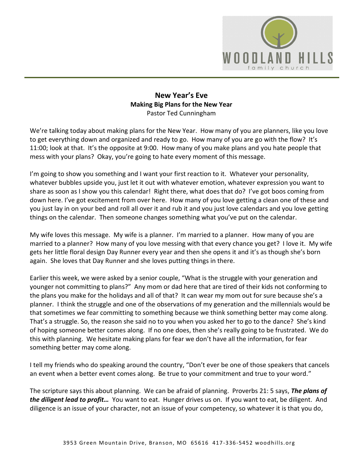

## **New Year's Eve Making Big Plans for the New Year** Pastor Ted Cunningham

We're talking today about making plans for the New Year. How many of you are planners, like you love to get everything down and organized and ready to go. How many of you are go with the flow? It's 11:00; look at that. It's the opposite at 9:00. How many of you make plans and you hate people that mess with your plans? Okay, you're going to hate every moment of this message.

I'm going to show you something and I want your first reaction to it. Whatever your personality, whatever bubbles upside you, just let it out with whatever emotion, whatever expression you want to share as soon as I show you this calendar! Right there, what does that do? I've got boos coming from down here. I've got excitement from over here. How many of you love getting a clean one of these and you just lay in on your bed and roll all over it and rub it and you just love calendars and you love getting things on the calendar. Then someone changes something what you've put on the calendar.

My wife loves this message. My wife is a planner. I'm married to a planner. How many of you are married to a planner? How many of you love messing with that every chance you get? I love it. My wife gets her little floral design Day Runner every year and then she opens it and it's as though she's born again. She loves that Day Runner and she loves putting things in there.

Earlier this week, we were asked by a senior couple, "What is the struggle with your generation and younger not committing to plans?" Any mom or dad here that are tired of their kids not conforming to the plans you make for the holidays and all of that? It can wear my mom out for sure because she's a planner. I think the struggle and one of the observations of my generation and the millennials would be that sometimes we fear committing to something because we think something better may come along. That's a struggle. So, the reason she said no to you when you asked her to go to the dance? She's kind of hoping someone better comes along. If no one does, then she's really going to be frustrated. We do this with planning. We hesitate making plans for fear we don't have all the information, for fear something better may come along.

I tell my friends who do speaking around the country, "Don't ever be one of those speakers that cancels an event when a better event comes along. Be true to your commitment and true to your word."

The scripture says this about planning. We can be afraid of planning. Proverbs 21: 5 says, *The plans of the diligent lead to profit…* You want to eat. Hunger drives us on. If you want to eat, be diligent. And diligence is an issue of your character, not an issue of your competency, so whatever it is that you do,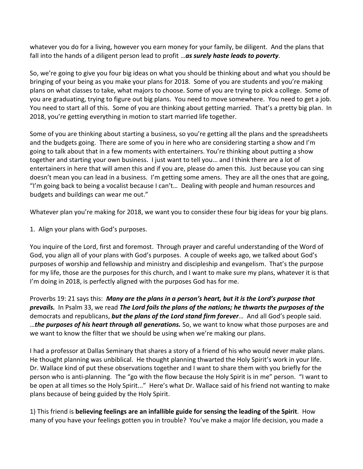whatever you do for a living, however you earn money for your family, be diligent. And the plans that fall into the hands of a diligent person lead to profit …*as surely haste leads to poverty*.

So, we're going to give you four big ideas on what you should be thinking about and what you should be bringing of your being as you make your plans for 2018. Some of you are students and you're making plans on what classes to take, what majors to choose. Some of you are trying to pick a college. Some of you are graduating, trying to figure out big plans. You need to move somewhere. You need to get a job. You need to start all of this. Some of you are thinking about getting married. That's a pretty big plan. In 2018, you're getting everything in motion to start married life together.

Some of you are thinking about starting a business, so you're getting all the plans and the spreadsheets and the budgets going. There are some of you in here who are considering starting a show and I'm going to talk about that in a few moments with entertainers. You're thinking about putting a show together and starting your own business. I just want to tell you… and I think there are a lot of entertainers in here that will amen this and if you are, please do amen this. Just because you can sing doesn't mean you can lead in a business. I'm getting some amens. They are all the ones that are going, "I'm going back to being a vocalist because I can't… Dealing with people and human resources and budgets and buildings can wear me out."

Whatever plan you're making for 2018, we want you to consider these four big ideas for your big plans.

1. Align your plans with God's purposes.

You inquire of the Lord, first and foremost. Through prayer and careful understanding of the Word of God, you align all of your plans with God's purposes. A couple of weeks ago, we talked about God's purposes of worship and fellowship and ministry and discipleship and evangelism. That's the purpose for my life, those are the purposes for this church, and I want to make sure my plans, whatever it is that I'm doing in 2018, is perfectly aligned with the purposes God has for me.

Proverbs 19: 21 says this: *Many are the plans in a person's heart, but it is the Lord's purpose that prevails.* In Psalm 33, we read *The Lord foils the plans of the nations; he thwarts the purposes of the* democrats and republicans, *but the plans of the Lord stand firm forever*… And all God's people said. …*the purposes of his heart through all generations.* So, we want to know what those purposes are and we want to know the filter that we should be using when we're making our plans.

I had a professor at Dallas Seminary that shares a story of a friend of his who would never make plans. He thought planning was unbiblical. He thought planning thwarted the Holy Spirit's work in your life. Dr. Wallace kind of put these observations together and I want to share them with you briefly for the person who is anti-planning. The "go with the flow because the Holy Spirit is in me" person. "I want to be open at all times so the Holy Spirit..." Here's what Dr. Wallace said of his friend not wanting to make plans because of being guided by the Holy Spirit.

1) This friend is **believing feelings are an infallible guide for sensing the leading of the Spirit**. How many of you have your feelings gotten you in trouble? You've make a major life decision, you made a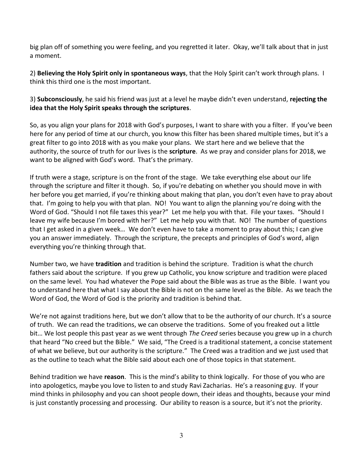big plan off of something you were feeling, and you regretted it later. Okay, we'll talk about that in just a moment.

2) **Believing the Holy Spirit only in spontaneous ways**, that the Holy Spirit can't work through plans. I think this third one is the most important.

3) **Subconsciously**, he said his friend was just at a level he maybe didn't even understand, **rejecting the idea that the Holy Spirit speaks through the scriptures**.

So, as you align your plans for 2018 with God's purposes, I want to share with you a filter. If you've been here for any period of time at our church, you know this filter has been shared multiple times, but it's a great filter to go into 2018 with as you make your plans. We start here and we believe that the authority, the source of truth for our lives is the **scripture**. As we pray and consider plans for 2018, we want to be aligned with God's word. That's the primary.

If truth were a stage, scripture is on the front of the stage. We take everything else about our life through the scripture and filter it though. So, if you're debating on whether you should move in with her before you get married, if you're thinking about making that plan, you don't even have to pray about that. I'm going to help you with that plan. NO! You want to align the planning you're doing with the Word of God. "Should I not file taxes this year?" Let me help you with that. File your taxes. "Should I leave my wife because I'm bored with her?" Let me help you with that. NO! The number of questions that I get asked in a given week… We don't even have to take a moment to pray about this; I can give you an answer immediately. Through the scripture, the precepts and principles of God's word, align everything you're thinking through that.

Number two, we have **tradition** and tradition is behind the scripture. Tradition is what the church fathers said about the scripture. If you grew up Catholic, you know scripture and tradition were placed on the same level. You had whatever the Pope said about the Bible was as true as the Bible. I want you to understand here that what I say about the Bible is not on the same level as the Bible. As we teach the Word of God, the Word of God is the priority and tradition is behind that.

We're not against traditions here, but we don't allow that to be the authority of our church. It's a source of truth. We can read the traditions, we can observe the traditions. Some of you freaked out a little bit… We lost people this past year as we went through *The Creed* series because you grew up in a church that heard "No creed but the Bible." We said, "The Creed is a traditional statement, a concise statement of what we believe, but our authority is the scripture." The Creed was a tradition and we just used that as the outline to teach what the Bible said about each one of those topics in that statement.

Behind tradition we have **reason**. This is the mind's ability to think logically. For those of you who are into apologetics, maybe you love to listen to and study Ravi Zacharias. He's a reasoning guy. If your mind thinks in philosophy and you can shoot people down, their ideas and thoughts, because your mind is just constantly processing and processing. Our ability to reason is a source, but it's not the priority.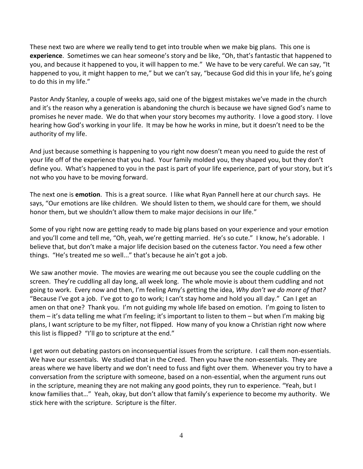These next two are where we really tend to get into trouble when we make big plans. This one is **experience**. Sometimes we can hear someone's story and be like, "Oh, that's fantastic that happened to you, and because it happened to you, it will happen to me." We have to be very careful. We can say, "It happened to you, it might happen to me," but we can't say, "because God did this in your life, he's going to do this in my life."

Pastor Andy Stanley, a couple of weeks ago, said one of the biggest mistakes we've made in the church and it's the reason why a generation is abandoning the church is because we have signed God's name to promises he never made. We do that when your story becomes my authority. I love a good story. I love hearing how God's working in your life. It may be how he works in mine, but it doesn't need to be the authority of my life.

And just because something is happening to you right now doesn't mean you need to guide the rest of your life off of the experience that you had. Your family molded you, they shaped you, but they don't define you. What's happened to you in the past is part of your life experience, part of your story, but it's not who you have to be moving forward.

The next one is **emotion**. This is a great source. I like what Ryan Pannell here at our church says. He says, "Our emotions are like children. We should listen to them, we should care for them, we should honor them, but we shouldn't allow them to make major decisions in our life."

Some of you right now are getting ready to made big plans based on your experience and your emotion and you'll come and tell me, "Oh, yeah, we're getting married. He's so cute." I know, he's adorable. I believe that, but don't make a major life decision based on the cuteness factor. You need a few other things. "He's treated me so well..." that's because he ain't got a job.

We saw another movie. The movies are wearing me out because you see the couple cuddling on the screen. They're cuddling all day long, all week long. The whole movie is about them cuddling and not going to work. Every now and then, I'm feeling Amy's getting the idea, *Why don't we do more of that?* "Because I've got a job. I've got to go to work; I can't stay home and hold you all day." Can I get an amen on that one? Thank you. I'm not guiding my whole life based on emotion. I'm going to listen to them – it's data telling me what I'm feeling; it's important to listen to them – but when I'm making big plans, I want scripture to be my filter, not flipped. How many of you know a Christian right now where this list is flipped? "I'll go to scripture at the end."

I get worn out debating pastors on inconsequential issues from the scripture. I call them non-essentials. We have our essentials. We studied that in the Creed. Then you have the non-essentials. They are areas where we have liberty and we don't need to fuss and fight over them. Whenever you try to have a conversation from the scripture with someone, based on a non-essential, when the argument runs out in the scripture, meaning they are not making any good points, they run to experience. "Yeah, but I know families that…" Yeah, okay, but don't allow that family's experience to become my authority. We stick here with the scripture. Scripture is the filter.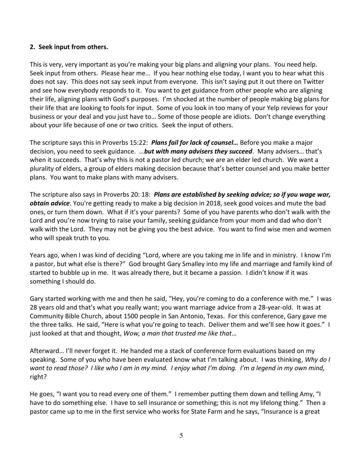## **2. Seek input from others.**

This is very, very important as you're making your big plans and aligning your plans. You need help. Seek input from others. Please hear me… If you hear nothing else today, I want you to hear what this does not say. This does not say seek input from everyone. This isn't saying put it out there on Twitter and see how everybody responds to it. You want to get guidance from other people who are aligning their life, aligning plans with God's purposes. I'm shocked at the number of people making big plans for their life that are looking to fools for input. Some of you look in too many of your Yelp reviews for your business or your deal and you just have to… Some of those people are idiots. Don't change everything about your life because of one or two critics. Seek the input of others.

The scripture says this in Proverbs 15:22: *Plans fail for lack of counsel…* Before you make a major decision, you need to seek guidance. …*but with many advisers they succeed*. Many advisers… that's when it succeeds. That's why this is not a pastor led church; we are an elder led church. We want a plurality of elders, a group of elders making decision because that's better counsel and you make better plans. You want to make plans with many advisers.

The scripture also says in Proverbs 20: 18: *Plans are established by seeking advice; so if you wage war, obtain advice*. You're getting ready to make a big decision in 2018, seek good voices and mute the bad ones, or turn them down. What if it's your parents? Some of you have parents who don't walk with the Lord and you're now trying to raise your family, seeking guidance from your mom and dad who don't walk with the Lord. They may not be giving you the best advice. You want to find wise men and women who will speak truth to you.

Years ago, when I was kind of deciding "Lord, where are you taking me in life and in ministry. I know I'm a pastor, but what else is there?" God brought Gary Smalley into my life and marriage and family kind of started to bubble up in me. It was already there, but it became a passion. I didn't know if it was something I should do.

Gary started working with me and then he said, "Hey, you're coming to do a conference with me." I was 28 years old and that's what you really want; you want marriage advice from a 28-year-old. It was at Community Bible Church, about 1500 people in San Antonio, Texas. For this conference, Gary gave me the three talks. He said, "Here is what you're going to teach. Deliver them and we'll see how it goes." I just looked at that and thought, *Wow, a man that trusted me like that*…

Afterward… I'll never forget it. He handed me a stack of conference form evaluations based on my speaking. Some of you who have been evaluated know what I'm talking about. I was thinking, *Why do I want to read those? I like who I am in my mind. I enjoy what I'm doing. I'm a legend in my own mind,*  right?

He goes, "I want you to read every one of them." I remember putting them down and telling Amy, "I have to do something else. I have to sell insurance or something; this is not my lifelong thing." Then a pastor came up to me in the first service who works for State Farm and he says, "Insurance is a great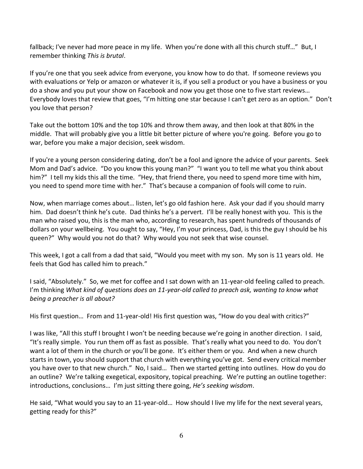fallback; I've never had more peace in my life. When you're done with all this church stuff…" But, I remember thinking *This is brutal*.

If you're one that you seek advice from everyone, you know how to do that. If someone reviews you with evaluations or Yelp or amazon or whatever it is, if you sell a product or you have a business or you do a show and you put your show on Facebook and now you get those one to five start reviews… Everybody loves that review that goes, "I'm hitting one star because I can't get zero as an option." Don't you love that person?

Take out the bottom 10% and the top 10% and throw them away, and then look at that 80% in the middle. That will probably give you a little bit better picture of where you're going. Before you go to war, before you make a major decision, seek wisdom.

If you're a young person considering dating, don't be a fool and ignore the advice of your parents. Seek Mom and Dad's advice. "Do you know this young man?" "I want you to tell me what you think about him?" I tell my kids this all the time. "Hey, that friend there, you need to spend more time with him, you need to spend more time with her." That's because a companion of fools will come to ruin.

Now, when marriage comes about… listen, let's go old fashion here. Ask your dad if you should marry him. Dad doesn't think he's cute. Dad thinks he's a pervert. I'll be really honest with you. This is the man who raised you, this is the man who, according to research, has spent hundreds of thousands of dollars on your wellbeing. You ought to say, "Hey, I'm your princess, Dad, is this the guy I should be his queen?" Why would you not do that? Why would you not seek that wise counsel.

This week, I got a call from a dad that said, "Would you meet with my son. My son is 11 years old. He feels that God has called him to preach."

I said, "Absolutely." So, we met for coffee and I sat down with an 11-year-old feeling called to preach. I'm thinking *What kind of questions does an 11-year-old called to preach ask, wanting to know what being a preacher is all about?*

His first question... From and 11-year-old! His first question was, "How do you deal with critics?"

I was like, "All this stuff I brought I won't be needing because we're going in another direction. I said, "It's really simple. You run them off as fast as possible. That's really what you need to do. You don't want a lot of them in the church or you'll be gone. It's either them or you. And when a new church starts in town, you should support that church with everything you've got. Send every critical member you have over to that new church." No, I said… Then we started getting into outlines. How do you do an outline? We're talking exegetical, expository, topical preaching. We're putting an outline together: introductions, conclusions… I'm just sitting there going, *He's seeking wisdom*.

He said, "What would you say to an 11-year-old… How should I live my life for the next several years, getting ready for this?"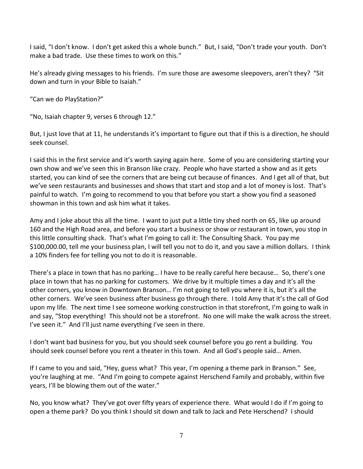I said, "I don't know. I don't get asked this a whole bunch." But, I said, "Don't trade your youth. Don't make a bad trade. Use these times to work on this."

He's already giving messages to his friends. I'm sure those are awesome sleepovers, aren't they? "Sit down and turn in your Bible to Isaiah."

"Can we do PlayStation?"

"No, Isaiah chapter 9, verses 6 through 12."

But, I just love that at 11, he understands it's important to figure out that if this is a direction, he should seek counsel.

I said this in the first service and it's worth saying again here. Some of you are considering starting your own show and we've seen this in Branson like crazy. People who have started a show and as it gets started, you can kind of see the corners that are being cut because of finances. And I get all of that, but we've seen restaurants and businesses and shows that start and stop and a lot of money is lost. That's painful to watch. I'm going to recommend to you that before you start a show you find a seasoned showman in this town and ask him what it takes.

Amy and I joke about this all the time. I want to just put a little tiny shed north on 65, like up around 160 and the High Road area, and before you start a business or show or restaurant in town, you stop in this little consulting shack. That's what I'm going to call it: The Consulting Shack. You pay me \$100,000.00, tell me your business plan, I will tell you not to do it, and you save a million dollars. I think a 10% finders fee for telling you not to do it is reasonable.

There's a place in town that has no parking… I have to be really careful here because… So, there's one place in town that has no parking for customers. We drive by it multiple times a day and it's all the other corners, you know in Downtown Branson… I'm not going to tell you where it is, but it's all the other corners. We've seen business after business go through there. I told Amy that it's the call of God upon my life. The next time I see someone working construction in that storefront, I'm going to walk in and say, "Stop everything! This should not be a storefront. No one will make the walk across the street. I've seen it." And I'll just name everything I've seen in there.

I don't want bad business for you, but you should seek counsel before you go rent a building. You should seek counsel before you rent a theater in this town. And all God's people said… Amen.

If I came to you and said, "Hey, guess what? This year, I'm opening a theme park in Branson." See, you're laughing at me. "And I'm going to compete against Herschend Family and probably, within five years, I'll be blowing them out of the water."

No, you know what? They've got over fifty years of experience there. What would I do if I'm going to open a theme park? Do you think I should sit down and talk to Jack and Pete Herschend? I should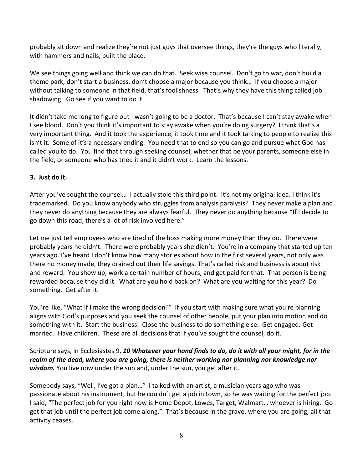probably sit down and realize they're not just guys that oversee things, they're the guys who literally, with hammers and nails, built the place.

We see things going well and think we can do that. Seek wise counsel. Don't go to war, don't build a theme park, don't start a business, don't choose a major because you think… If you choose a major without talking to someone in that field, that's foolishness. That's why they have this thing called job shadowing. Go see if you want to do it.

It didn't take me long to figure out I wasn't going to be a doctor. That's because I can't stay awake when I see blood. Don't you think it's important to stay awake when you're doing surgery? I think that's a very important thing. And it took the experience, it took time and it took talking to people to realize this isn't it. Some of it's a necessary ending. You need that to end so you can go and pursue what God has called you to do. You find that through seeking counsel, whether that be your parents, someone else in the field, or someone who has tried it and it didn't work. Learn the lessons.

## **3. Just do it.**

After you've sought the counsel… I actually stole this third point. It's not my original idea. I think it's trademarked. Do you know anybody who struggles from analysis paralysis? They never make a plan and they never do anything because they are always fearful. They never do anything because "If I decide to go down this road, there's a lot of risk involved here."

Let me just tell employees who are tired of the boss making more money than they do. There were probably years he didn't. There were probably years she didn't. You're in a company that started up ten years ago. I've heard I don't know how many stories about how in the first several years, not only was there no money made, they drained out their life savings. That's called risk and business is about risk and reward. You show up, work a certain number of hours, and get paid for that. That person is being rewarded because they did it. What are you hold back on? What are you waiting for this year? Do something. Get after it.

You're like, "What if I make the wrong decision?" If you start with making sure what you're planning aligns with God's purposes and you seek the counsel of other people, put your plan into motion and do something with it. Start the business. Close the business to do something else. Get engaged. Get married. Have children. These are all decisions that if you've sought the counsel, do it.

Scripture says, in Ecclesiastes 9, *[10](https://www.studylight.org/desk/?q=ec%209:10&t1=en_niv&sr=1) Whatever your hand finds to do, do it with all your might, for in the realm of the dead, where you are going, there is neither working nor planning nor knowledge nor*  wisdom. You live now under the sun and, under the sun, you get after it.

Somebody says, "Well, I've got a plan…" I talked with an artist, a musician years ago who was passionate about his instrument, but he couldn't get a job in town, so he was waiting for the perfect job. I said, "The perfect job for you right now is Home Depot, Lowes, Target, Walmart… whoever is hiring. Go get that job until the perfect job come along." That's because in the grave, where you are going, all that activity ceases.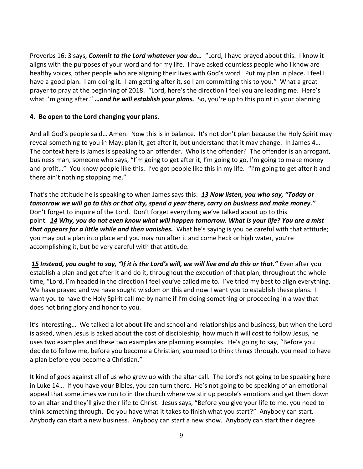Proverbs 16: 3 says, *Commit to the Lord whatever you do…* "Lord, I have prayed about this. I know it aligns with the purposes of your word and for my life. I have asked countless people who I know are healthy voices, other people who are aligning their lives with God's word. Put my plan in place. I feel I have a good plan. I am doing it. I am getting after it, so I am committing this to you." What a great prayer to pray at the beginning of 2018. "Lord, here's the direction I feel you are leading me. Here's what I'm going after." *…and he will establish your plans.* So, you're up to this point in your planning.

## **4. Be open to the Lord changing your plans.**

And all God's people said… Amen. Now this is in balance. It's not don't plan because the Holy Spirit may reveal something to you in May; plan it, get after it, but understand that it may change. In James 4… The context here is James is speaking to an offender. Who is the offender? The offender is an arrogant, business man, someone who says, "I'm going to get after it, I'm going to go, I'm going to make money and profit…" You know people like this. I've got people like this in my life. "I'm going to get after it and there ain't nothing stopping me."

That's the attitude he is speaking to when James says this: *[13](https://www.studylight.org/desk/?q=jas%204:13&t1=en_niv&sr=1) Now listen, you who say, "Today or tomorrow we will go to this or that city, spend a year there, carry on business and make money."* Don't forget to inquire of the Lord. Don't forget everything we've talked about up to this point. *[14](https://www.studylight.org/desk/?q=jas%204:14&t1=en_niv&sr=1) Why, you do not even know what will happen tomorrow. What is your life? You are a mist that appears for a little while and then vanishes.* What he's saying is you be careful with that attitude; you may put a plan into place and you may run after it and come heck or high water, you're accomplishing it, but be very careful with that attitude.

*[15](https://www.studylight.org/desk/?q=jas%204:15&t1=en_niv&sr=1) Instead, you ought to say, "If it is the Lord's will, we will live and do this or that."* Even after you establish a plan and get after it and do it, throughout the execution of that plan, throughout the whole time, "Lord, I'm headed in the direction I feel you've called me to. I've tried my best to align everything. We have prayed and we have sought wisdom on this and now I want you to establish these plans. I want you to have the Holy Spirit call me by name if I'm doing something or proceeding in a way that does not bring glory and honor to you.

It's interesting… We talked a lot about life and school and relationships and business, but when the Lord is asked, when Jesus is asked about the cost of discipleship, how much it will cost to follow Jesus, he uses two examples and these two examples are planning examples. He's going to say, "Before you decide to follow me, before you become a Christian, you need to think things through, you need to have a plan before you become a Christian."

It kind of goes against all of us who grew up with the altar call. The Lord's not going to be speaking here in Luke 14… If you have your Bibles, you can turn there. He's not going to be speaking of an emotional appeal that sometimes we run to in the church where we stir up people's emotions and get them down to an altar and they'll give their life to Christ. Jesus says, "Before you give your life to me, you need to think something through. Do you have what it takes to finish what you start?" Anybody can start. Anybody can start a new business. Anybody can start a new show. Anybody can start their degree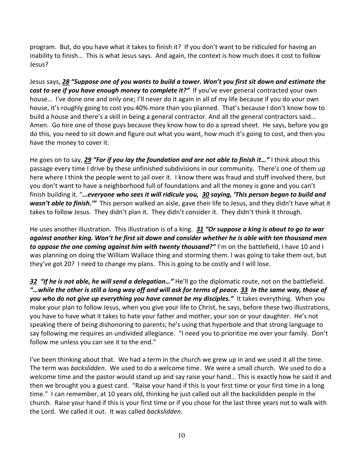program. But, do you have what it takes to finish it? If you don't want to be ridiculed for having an inability to finish… This is what Jesus says. And again, the context is how much does it cost to follow Jesus?

Jesus says, *[28](https://www.studylight.org/desk/?q=lu%2014:28&t1=en_niv&sr=1) "Suppose one of you wants to build a tower. Won't you first sit down and estimate the cost to see if you have enough money to complete it?"* If you've ever general contracted your own house… I've done one and only one; I'll never do it again in all of my life because if you do your own house, it's roughly going to cost you 40% more than you planned. That's because I don't know how to build a house and there's a skill in being a general contractor. And all the general contractors said… Amen. Go hire one of those guys because they know how to do a spread sheet. He says, before you go do this, you need to sit down and figure out what you want, how much it's going to cost, and then you have the money to cover it.

He goes on to say, *[29](https://www.studylight.org/desk/?q=lu%2014:29&t1=en_niv&sr=1) "For if you lay the foundation and are not able to finish it…"* I think about this passage every time I drive by these unfinished subdivisions in our community. There's one of them up here where I think the people went to jail over it. I know there was fraud and stuff involved there, but you don't want to have a neighborhood full of foundations and all the money is gone and you can't finish building it. "*…everyone who sees it will ridicule you, [30](https://www.studylight.org/desk/?q=lu%2014:30&t1=en_niv&sr=1) saying, 'This person began to build and wasn't able to finish.'"* This person walked an aisle, gave their life to Jesus, and they didn't have what it takes to follow Jesus. They didn't plan it. They didn't consider it. They didn't think it through.

He uses another illustration. This illustration is of a king. *[31](https://www.studylight.org/desk/?q=lu%2014:31&t1=en_niv&sr=1) "Or suppose a king is about to go to war against another king. Won't he first sit down and consider whether he is able with ten thousand men to oppose the one coming against him with twenty thousand?<sup><i>"*</sup> I'm on the battlefield, I have 10 and I was planning on doing the William Wallace thing and storming them. I was going to take them out, but they've got 20? I need to change my plans. This is going to be costly and I will lose.

*[32](https://www.studylight.org/desk/?q=lu%2014:32&t1=en_niv&sr=1) "If he is not able, he will send a delegation…"* He'll go the diplomatic route, not on the battlefield. *"…while the other is still a long way off and will ask for terms of peace. [33](https://www.studylight.org/desk/?q=lu%2014:33&t1=en_niv&sr=1) In the same way, those of you who do not give up everything you have cannot be my disciples."* It takes everything. When you make your plan to follow Jesus, when you give your life to Christ, he says, before these two illustrations, you have to have what it takes to hate your father and mother, your son or your daughter. He's not speaking there of being dishonoring to parents; he's using that hyperbole and that strong language to say following me requires an undivided allegiance. "I need you to prioritize me over your family. Don't follow me unless you can see it to the end."

I've been thinking about that. We had a term in the church we grew up in and we used it all the time. The term was *backslidden*. We used to do a welcome time. We were a small church. We used to do a welcome time and the pastor would stand up and say raise your hand… This is exactly how he said it and then we brought you a guest card. "Raise your hand if this is your first time or your first time in a long time." I can remember, at 10 years old, thinking he just called out all the backslidden people in the church. Raise your hand if this is your first time or if you chose for the last three years not to walk with the Lord. We called it out. It was called *backslidden*.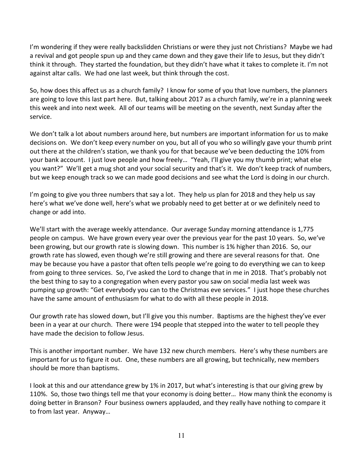I'm wondering if they were really backslidden Christians or were they just not Christians? Maybe we had a revival and got people spun up and they came down and they gave their life to Jesus, but they didn't think it through. They started the foundation, but they didn't have what it takes to complete it. I'm not against altar calls. We had one last week, but think through the cost.

So, how does this affect us as a church family? I know for some of you that love numbers, the planners are going to love this last part here. But, talking about 2017 as a church family, we're in a planning week this week and into next week. All of our teams will be meeting on the seventh, next Sunday after the service.

We don't talk a lot about numbers around here, but numbers are important information for us to make decisions on. We don't keep every number on you, but all of you who so willingly gave your thumb print out there at the children's station, we thank you for that because we've been deducting the 10% from your bank account. I just love people and how freely… "Yeah, I'll give you my thumb print; what else you want?" We'll get a mug shot and your social security and that's it. We don't keep track of numbers, but we keep enough track so we can made good decisions and see what the Lord is doing in our church.

I'm going to give you three numbers that say a lot. They help us plan for 2018 and they help us say here's what we've done well, here's what we probably need to get better at or we definitely need to change or add into.

We'll start with the average weekly attendance. Our average Sunday morning attendance is 1,775 people on campus. We have grown every year over the previous year for the past 10 years. So, we've been growing, but our growth rate is slowing down. This number is 1% higher than 2016. So, our growth rate has slowed, even though we're still growing and there are several reasons for that. One may be because you have a pastor that often tells people we're going to do everything we can to keep from going to three services. So, I've asked the Lord to change that in me in 2018. That's probably not the best thing to say to a congregation when every pastor you saw on social media last week was pumping up growth: "Get everybody you can to the Christmas eve services." I just hope these churches have the same amount of enthusiasm for what to do with all these people in 2018.

Our growth rate has slowed down, but I'll give you this number. Baptisms are the highest they've ever been in a year at our church. There were 194 people that stepped into the water to tell people they have made the decision to follow Jesus.

This is another important number. We have 132 new church members. Here's why these numbers are important for us to figure it out. One, these numbers are all growing, but technically, new members should be more than baptisms.

I look at this and our attendance grew by 1% in 2017, but what's interesting is that our giving grew by 110%. So, those two things tell me that your economy is doing better… How many think the economy is doing better in Branson? Four business owners applauded, and they really have nothing to compare it to from last year. Anyway…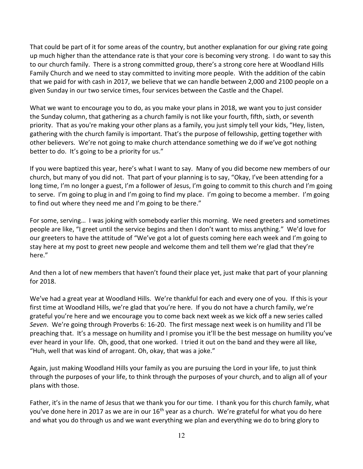That could be part of it for some areas of the country, but another explanation for our giving rate going up much higher than the attendance rate is that your core is becoming very strong. I do want to say this to our church family. There is a strong committed group, there's a strong core here at Woodland Hills Family Church and we need to stay committed to inviting more people. With the addition of the cabin that we paid for with cash in 2017, we believe that we can handle between 2,000 and 2100 people on a given Sunday in our two service times, four services between the Castle and the Chapel.

What we want to encourage you to do, as you make your plans in 2018, we want you to just consider the Sunday column, that gathering as a church family is not like your fourth, fifth, sixth, or seventh priority. That as you're making your other plans as a family, you just simply tell your kids, "Hey, listen, gathering with the church family is important. That's the purpose of fellowship, getting together with other believers. We're not going to make church attendance something we do if we've got nothing better to do. It's going to be a priority for us."

If you were baptized this year, here's what I want to say. Many of you did become new members of our church, but many of you did not. That part of your planning is to say, "Okay, I've been attending for a long time, I'm no longer a guest, I'm a follower of Jesus, I'm going to commit to this church and I'm going to serve. I'm going to plug in and I'm going to find my place. I'm going to become a member. I'm going to find out where they need me and I'm going to be there."

For some, serving… I was joking with somebody earlier this morning. We need greeters and sometimes people are like, "I greet until the service begins and then I don't want to miss anything." We'd love for our greeters to have the attitude of "We've got a lot of guests coming here each week and I'm going to stay here at my post to greet new people and welcome them and tell them we're glad that they're here."

And then a lot of new members that haven't found their place yet, just make that part of your planning for 2018.

We've had a great year at Woodland Hills. We're thankful for each and every one of you. If this is your first time at Woodland Hills, we're glad that you're here. If you do not have a church family, we're grateful you're here and we encourage you to come back next week as we kick off a new series called *Seven*. We're going through Proverbs 6: 16-20. The first message next week is on humility and I'll be preaching that. It's a message on humility and I promise you it'll be the best message on humility you've ever heard in your life. Oh, good, that one worked. I tried it out on the band and they were all like, "Huh, well that was kind of arrogant. Oh, okay, that was a joke."

Again, just making Woodland Hills your family as you are pursuing the Lord in your life, to just think through the purposes of your life, to think through the purposes of your church, and to align all of your plans with those.

Father, it's in the name of Jesus that we thank you for our time. I thank you for this church family, what you've done here in 2017 as we are in our 16<sup>th</sup> year as a church. We're grateful for what you do here and what you do through us and we want everything we plan and everything we do to bring glory to